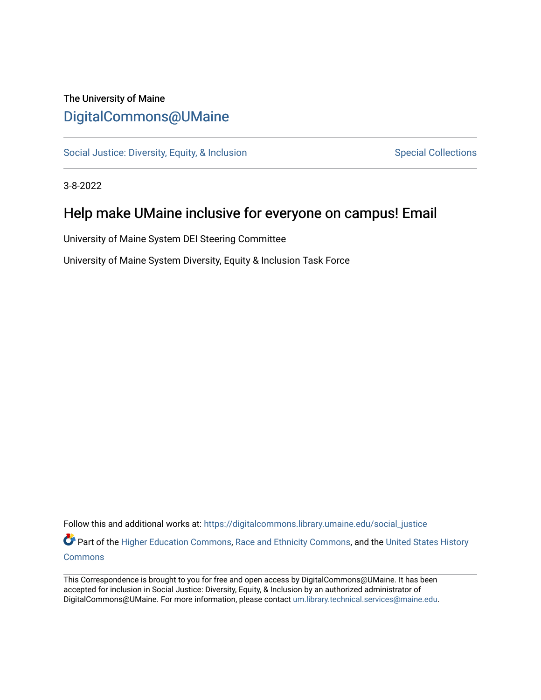## The University of Maine [DigitalCommons@UMaine](https://digitalcommons.library.umaine.edu/)

[Social Justice: Diversity, Equity, & Inclusion](https://digitalcommons.library.umaine.edu/social_justice) [Special Collections](https://digitalcommons.library.umaine.edu/specialcollections) Special Collections

3-8-2022

## Help make UMaine inclusive for everyone on campus! Email

University of Maine System DEI Steering Committee

University of Maine System Diversity, Equity & Inclusion Task Force

Follow this and additional works at: [https://digitalcommons.library.umaine.edu/social\\_justice](https://digitalcommons.library.umaine.edu/social_justice?utm_source=digitalcommons.library.umaine.edu%2Fsocial_justice%2F879&utm_medium=PDF&utm_campaign=PDFCoverPages) 

Part of the [Higher Education Commons,](http://network.bepress.com/hgg/discipline/1245?utm_source=digitalcommons.library.umaine.edu%2Fsocial_justice%2F879&utm_medium=PDF&utm_campaign=PDFCoverPages) [Race and Ethnicity Commons,](http://network.bepress.com/hgg/discipline/426?utm_source=digitalcommons.library.umaine.edu%2Fsocial_justice%2F879&utm_medium=PDF&utm_campaign=PDFCoverPages) and the United States History **[Commons](http://network.bepress.com/hgg/discipline/495?utm_source=digitalcommons.library.umaine.edu%2Fsocial_justice%2F879&utm_medium=PDF&utm_campaign=PDFCoverPages)** 

This Correspondence is brought to you for free and open access by DigitalCommons@UMaine. It has been accepted for inclusion in Social Justice: Diversity, Equity, & Inclusion by an authorized administrator of DigitalCommons@UMaine. For more information, please contact [um.library.technical.services@maine.edu](mailto:um.library.technical.services@maine.edu).